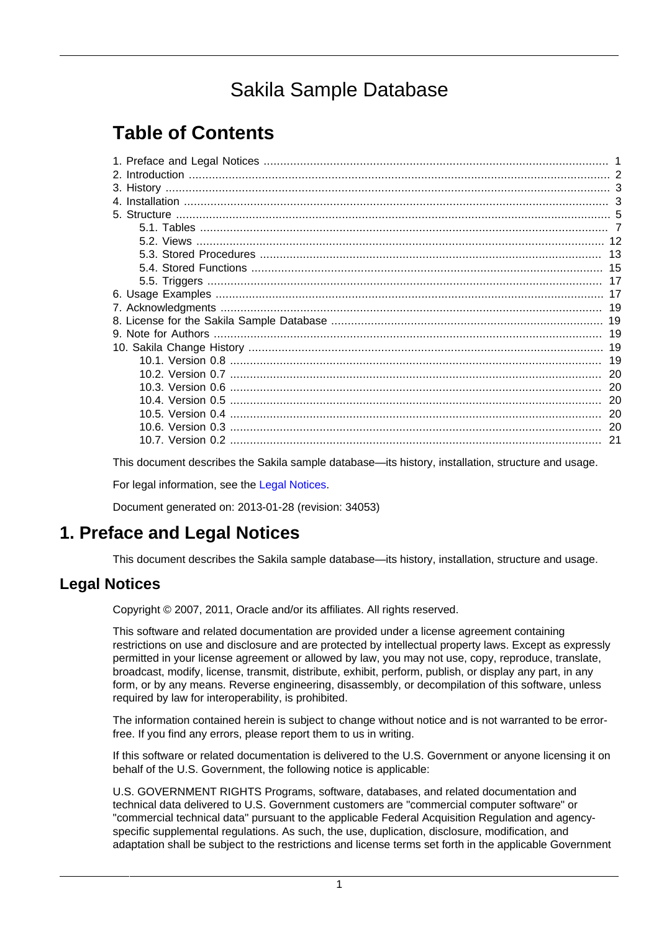# Sakila Sample Database

# **Table of Contents**

| -21 |
|-----|

This document describes the Sakila sample database—its history, installation, structure and usage.

For legal information, see the [Legal Notices.](#page-0-1)

Document generated on: 2013-01-28 (revision: 34053)

## <span id="page-0-0"></span>**1. Preface and Legal Notices**

This document describes the Sakila sample database—its history, installation, structure and usage.

## <span id="page-0-1"></span>**Legal Notices**

Copyright © 2007, 2011, Oracle and/or its affiliates. All rights reserved.

This software and related documentation are provided under a license agreement containing restrictions on use and disclosure and are protected by intellectual property laws. Except as expressly permitted in your license agreement or allowed by law, you may not use, copy, reproduce, translate, broadcast, modify, license, transmit, distribute, exhibit, perform, publish, or display any part, in any form, or by any means. Reverse engineering, disassembly, or decompilation of this software, unless required by law for interoperability, is prohibited.

The information contained herein is subject to change without notice and is not warranted to be errorfree. If you find any errors, please report them to us in writing.

If this software or related documentation is delivered to the U.S. Government or anyone licensing it on behalf of the U.S. Government, the following notice is applicable:

U.S. GOVERNMENT RIGHTS Programs, software, databases, and related documentation and technical data delivered to U.S. Government customers are "commercial computer software" or "commercial technical data" pursuant to the applicable Federal Acquisition Regulation and agencyspecific supplemental regulations. As such, the use, duplication, disclosure, modification, and adaptation shall be subject to the restrictions and license terms set forth in the applicable Government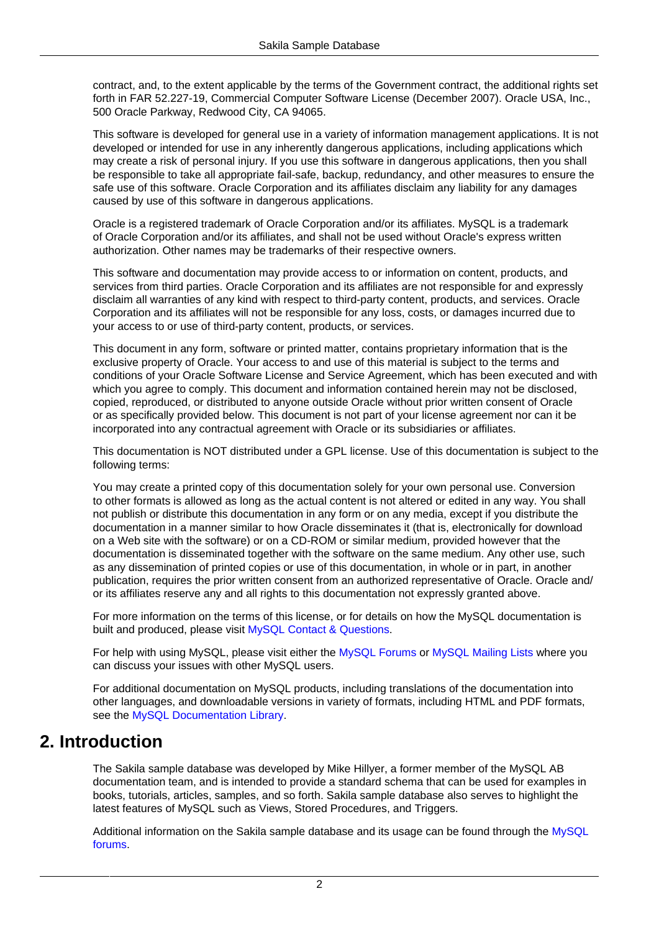contract, and, to the extent applicable by the terms of the Government contract, the additional rights set forth in FAR 52.227-19, Commercial Computer Software License (December 2007). Oracle USA, Inc., 500 Oracle Parkway, Redwood City, CA 94065.

This software is developed for general use in a variety of information management applications. It is not developed or intended for use in any inherently dangerous applications, including applications which may create a risk of personal injury. If you use this software in dangerous applications, then you shall be responsible to take all appropriate fail-safe, backup, redundancy, and other measures to ensure the safe use of this software. Oracle Corporation and its affiliates disclaim any liability for any damages caused by use of this software in dangerous applications.

Oracle is a registered trademark of Oracle Corporation and/or its affiliates. MySQL is a trademark of Oracle Corporation and/or its affiliates, and shall not be used without Oracle's express written authorization. Other names may be trademarks of their respective owners.

This software and documentation may provide access to or information on content, products, and services from third parties. Oracle Corporation and its affiliates are not responsible for and expressly disclaim all warranties of any kind with respect to third-party content, products, and services. Oracle Corporation and its affiliates will not be responsible for any loss, costs, or damages incurred due to your access to or use of third-party content, products, or services.

This document in any form, software or printed matter, contains proprietary information that is the exclusive property of Oracle. Your access to and use of this material is subject to the terms and conditions of your Oracle Software License and Service Agreement, which has been executed and with which you agree to comply. This document and information contained herein may not be disclosed. copied, reproduced, or distributed to anyone outside Oracle without prior written consent of Oracle or as specifically provided below. This document is not part of your license agreement nor can it be incorporated into any contractual agreement with Oracle or its subsidiaries or affiliates.

This documentation is NOT distributed under a GPL license. Use of this documentation is subject to the following terms:

You may create a printed copy of this documentation solely for your own personal use. Conversion to other formats is allowed as long as the actual content is not altered or edited in any way. You shall not publish or distribute this documentation in any form or on any media, except if you distribute the documentation in a manner similar to how Oracle disseminates it (that is, electronically for download on a Web site with the software) or on a CD-ROM or similar medium, provided however that the documentation is disseminated together with the software on the same medium. Any other use, such as any dissemination of printed copies or use of this documentation, in whole or in part, in another publication, requires the prior written consent from an authorized representative of Oracle. Oracle and/ or its affiliates reserve any and all rights to this documentation not expressly granted above.

For more information on the terms of this license, or for details on how the MySQL documentation is built and produced, please visit [MySQL Contact & Questions.](http://dev.mysql.com/contact/)

For help with using MySQL, please visit either the [MySQL Forums](http://forums.mysql.com) or [MySQL Mailing Lists](http://lists.mysql.com) where you can discuss your issues with other MySQL users.

For additional documentation on MySQL products, including translations of the documentation into other languages, and downloadable versions in variety of formats, including HTML and PDF formats, see the [MySQL Documentation Library](http://dev.mysql.com/doc).

## <span id="page-1-0"></span>**2. Introduction**

The Sakila sample database was developed by Mike Hillyer, a former member of the MySQL AB documentation team, and is intended to provide a standard schema that can be used for examples in books, tutorials, articles, samples, and so forth. Sakila sample database also serves to highlight the latest features of MySQL such as Views, Stored Procedures, and Triggers.

Additional information on the Sakila sample database and its usage can be found through the [MySQL](http://forums.mysql.com/list.php?121) [forums.](http://forums.mysql.com/list.php?121)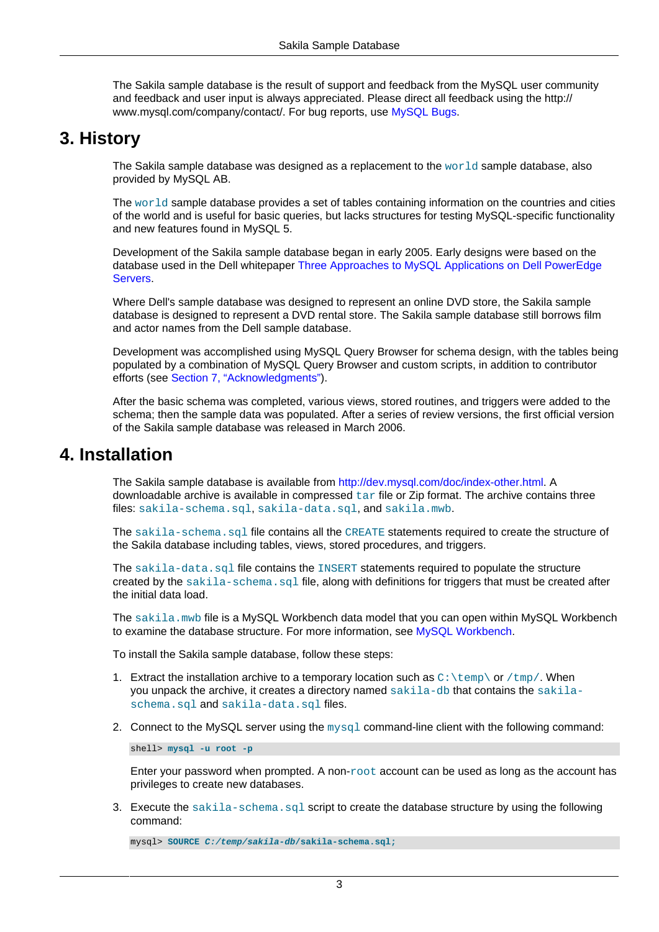The Sakila sample database is the result of support and feedback from the MySQL user community and feedback and user input is always appreciated. Please direct all feedback using the http:// www.mysql.com/company/contact/. For bug reports, use [MySQL Bugs.](http://bugs.mysql.com)

## <span id="page-2-0"></span>**3. History**

The Sakila sample database was designed as a replacement to the [world](http://downloads.mysql.com/docs/#examples) sample database, also provided by MySQL AB.

The world sample database provides a set of tables containing information on the countries and cities of the world and is useful for basic queries, but lacks structures for testing MySQL-specific functionality and new features found in MySQL 5.

Development of the Sakila sample database began in early 2005. Early designs were based on the database used in the Dell whitepaper [Three Approaches to MySQL Applications on Dell PowerEdge](http://www.dell.com/downloads/global/solutions/mysql_apps.pdf) [Servers](http://www.dell.com/downloads/global/solutions/mysql_apps.pdf).

Where Dell's sample database was designed to represent an online DVD store, the Sakila sample database is designed to represent a DVD rental store. The Sakila sample database still borrows film and actor names from the Dell sample database.

Development was accomplished using MySQL Query Browser for schema design, with the tables being populated by a combination of MySQL Query Browser and custom scripts, in addition to contributor efforts (see [Section 7, "Acknowledgments"\)](#page-18-0).

After the basic schema was completed, various views, stored routines, and triggers were added to the schema; then the sample data was populated. After a series of review versions, the first official version of the Sakila sample database was released in March 2006.

## <span id="page-2-1"></span>**4. Installation**

The Sakila sample database is available from <http://dev.mysql.com/doc/index-other.html>. A downloadable archive is available in compressed  $\tan$  file or Zip format. The archive contains three files: sakila-schema.sql, sakila-data.sql, and sakila.mwb.

The sakila-schema.sql file contains all the CREATE statements required to create the structure of the Sakila database including tables, views, stored procedures, and triggers.

The sakila-data.sql file contains the INSERT statements required to populate the structure created by the  $s$ akila-schema.sql file, along with definitions for triggers that must be created after the initial data load.

The sakila.mwb file is a MySQL Workbench data model that you can open within MySQL Workbench to examine the database structure. For more information, see [MySQL Workbench.](http://dev.mysql.com/doc/workbench/en/)

To install the Sakila sample database, follow these steps:

- 1. Extract the installation archive to a temporary location such as  $C:\temp\ or /tmp/$ . When you unpack the archive, it creates a directory named sakila-db that contains the sakilaschema.sql and sakila-data.sql files.
- 2. Connect to the MySQL server using the  $m_y s q \cdot l$  command-line client with the following command:

shell> **mysql -u root -p**

Enter your password when prompted. A non- $\text{root}$  account can be used as long as the account has privileges to create new databases.

3. Execute the sakila-schema.sql script to create the database structure by using the following command:

mysql> **SOURCE C:/temp/sakila-db/sakila-schema.sql;**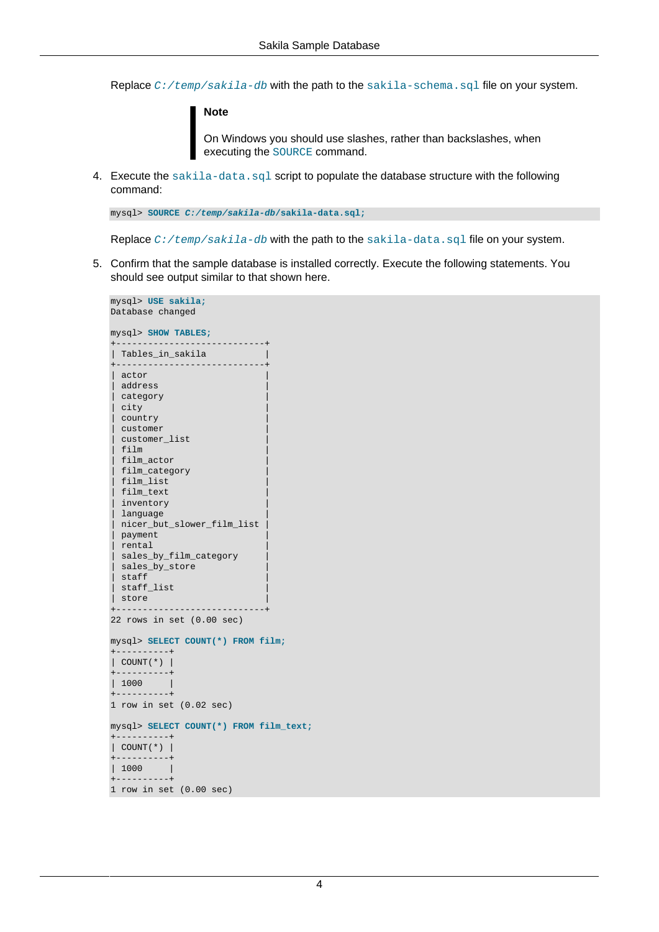Replace  $C: /temp/sakila-db$  with the path to the sakila-schema.sql file on your system.

#### **Note**

On Windows you should use slashes, rather than backslashes, when executing the SOURCE command.

4. Execute the sakila-data.sql script to populate the database structure with the following command:

```
mysql> SOURCE C:/temp/sakila-db/sakila-data.sql;
```
Replace  $C: /temp/sakila-db$  with the path to the sakila-data.sql file on your system.

5. Confirm that the sample database is installed correctly. Execute the following statements. You should see output similar to that shown here.

```
mysql> USE sakila;
Database changed
mysql> SHOW TABLES;
+----------------------------+
| Tables_in_sakila |
+----------------------------+
| actor |
 | address |
 category
.<br>| city
| country |
 | customer |
 | customer_list |
 | film |
 | film_actor |
 | film_category |
 film list
 | film_text |
  inventory
 language
 | nicer_but_slower_film_list |
| payment |
  rental
 sales_by_film_category
 sales_by_store
 | staff |
<sub>.</sub><br>| staff_list
| store
+----------------------------+
22 rows in set (0.00 sec)
mysql> SELECT COUNT(*) FROM film;
    +----------+
| COUNT(*) |
+----------+
| 1000 |
  +----------+
1 row in set (0.02 sec)
mysql> SELECT COUNT(*) FROM film_text;
+----------+
| COUNT(*) |
+----------+
| 1000+----------+
1 row in set (0.00 sec)
```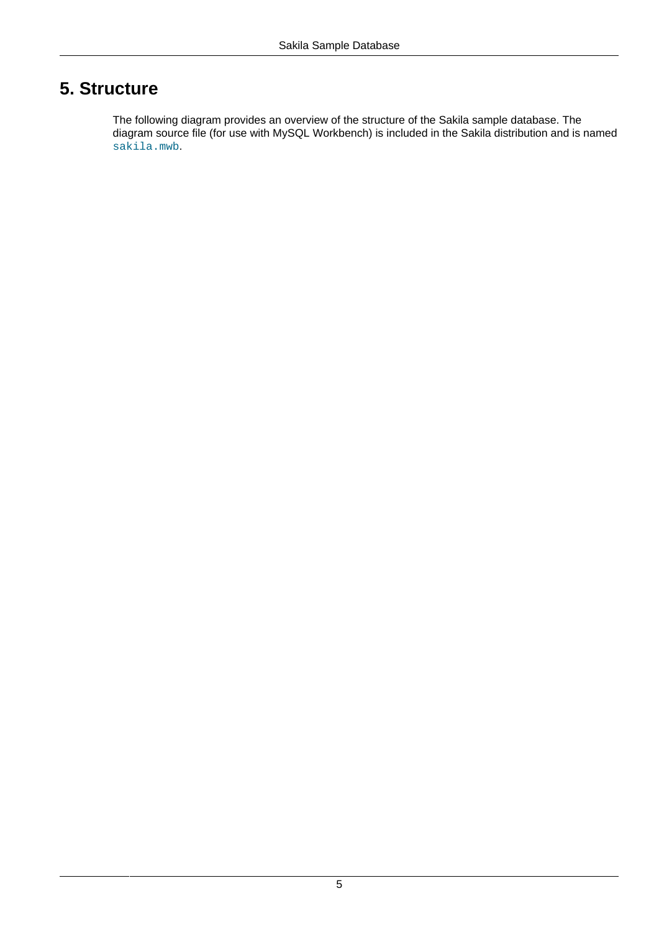## <span id="page-4-0"></span>**5. Structure**

The following diagram provides an overview of the structure of the Sakila sample database. The diagram source file (for use with MySQL Workbench) is included in the Sakila distribution and is named sakila.mwb.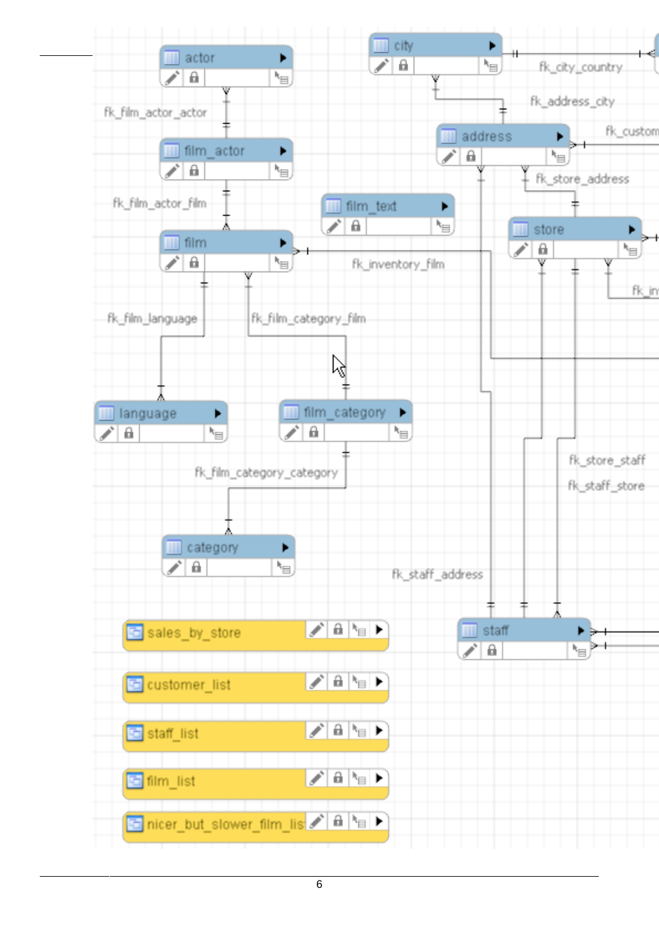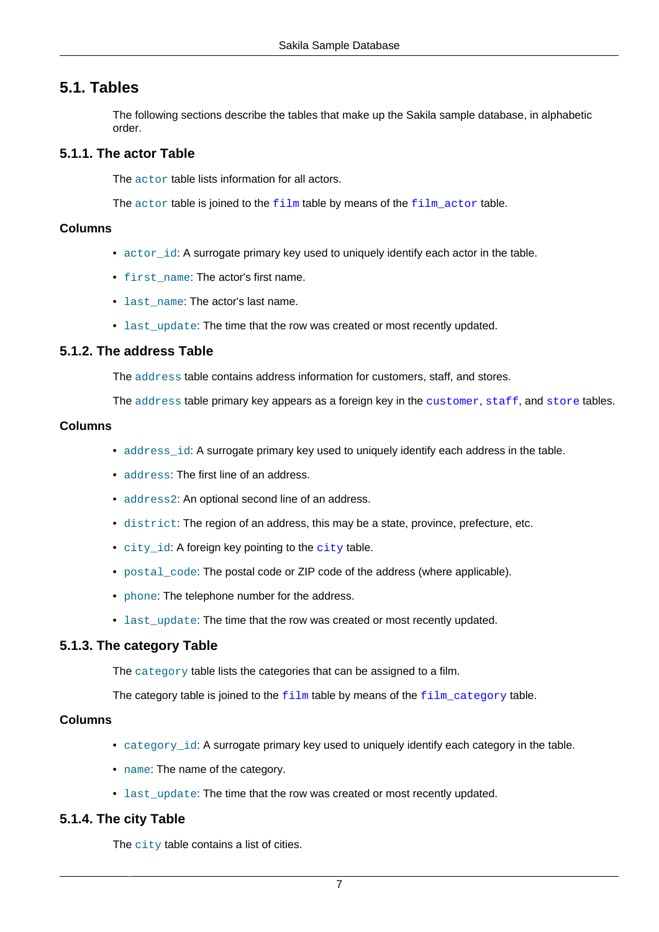## <span id="page-6-0"></span>**5.1. Tables**

The following sections describe the tables that make up the Sakila sample database, in alphabetic order.

## <span id="page-6-3"></span>**5.1.1. The actor Table**

The actor table lists information for all actors.

The actor table is joined to the [film](#page-7-0) table by means of the [film\\_actor](#page-8-0) table.

### **Columns**

- actor\_id: A surrogate primary key used to uniquely identify each actor in the table.
- first name: The actor's first name.
- last name: The actor's last name.
- last update: The time that the row was created or most recently updated.

### <span id="page-6-2"></span>**5.1.2. The address Table**

The address table contains address information for customers, staff, and stores.

The address table primary key appears as a foreign key in the [customer](#page-7-1), [staff](#page-10-0), and [store](#page-11-1) tables.

#### **Columns**

- address\_id: A surrogate primary key used to uniquely identify each address in the table.
- address: The first line of an address.
- address2: An optional second line of an address.
- district: The region of an address, this may be a state, province, prefecture, etc.
- [city](#page-6-1) id: A foreign key pointing to the city table.
- postal\_code: The postal code or ZIP code of the address (where applicable).
- phone: The telephone number for the address.
- last\_update: The time that the row was created or most recently updated.

### <span id="page-6-4"></span>**5.1.3. The category Table**

The category table lists the categories that can be assigned to a film.

The category table is joined to the  $film$  table by means of the  $film\_category$  table.

## **Columns**

- category id: A surrogate primary key used to uniquely identify each category in the table.
- name: The name of the category.
- last update: The time that the row was created or most recently updated.

## <span id="page-6-1"></span>**5.1.4. The city Table**

The city table contains a list of cities.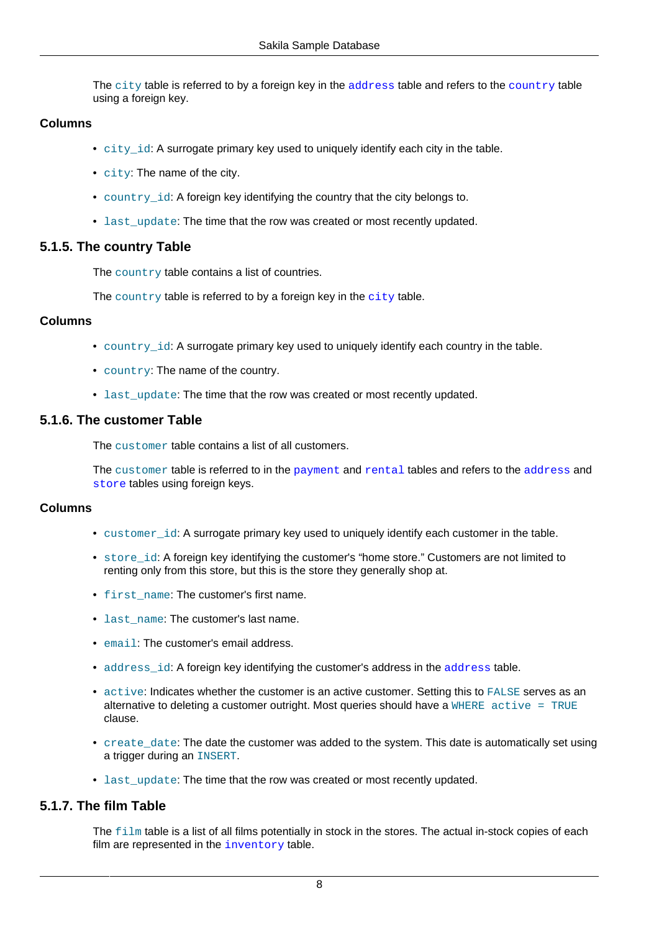The city table is referred to by a foreign key in the [address](#page-6-2) table and refers to the [country](#page-7-2) table using a foreign key.

## **Columns**

- city id: A surrogate primary key used to uniquely identify each city in the table.
- city: The name of the city.
- country\_id: A foreign key identifying the country that the city belongs to.
- last update: The time that the row was created or most recently updated.

## <span id="page-7-2"></span>**5.1.5. The country Table**

The country table contains a list of countries.

The country table is referred to by a foreign key in the [city](#page-6-1) table.

#### **Columns**

- country  $id$ : A surrogate primary key used to uniquely identify each country in the table.
- country: The name of the country.
- last update: The time that the row was created or most recently updated.

### <span id="page-7-1"></span>**5.1.6. The customer Table**

The customer table contains a list of all customers.

The customer table is referred to in the [payment](#page-9-0) and [rental](#page-10-1) tables and refers to the [address](#page-6-2) and [store](#page-11-1) tables using foreign keys.

#### **Columns**

- customer\_id: A surrogate primary key used to uniquely identify each customer in the table.
- store id: A foreign key identifying the customer's "home store." Customers are not limited to renting only from this store, but this is the store they generally shop at.
- first name: The customer's first name.
- last name: The customer's last name.
- email: The customer's email address.
- [address](#page-6-2) id: A foreign key identifying the customer's address in the address table.
- active: Indicates whether the customer is an active customer. Setting this to FALSE serves as an alternative to deleting a customer outright. Most queries should have a  $\texttt{WHERE}$  active = TRUE clause.
- create\_date: The date the customer was added to the system. This date is automatically set using a trigger during an INSERT.
- last\_update: The time that the row was created or most recently updated.

## <span id="page-7-0"></span>**5.1.7. The film Table**

The film table is a list of all films potentially in stock in the stores. The actual in-stock copies of each film are represented in the *[inventory](#page-9-1)* table.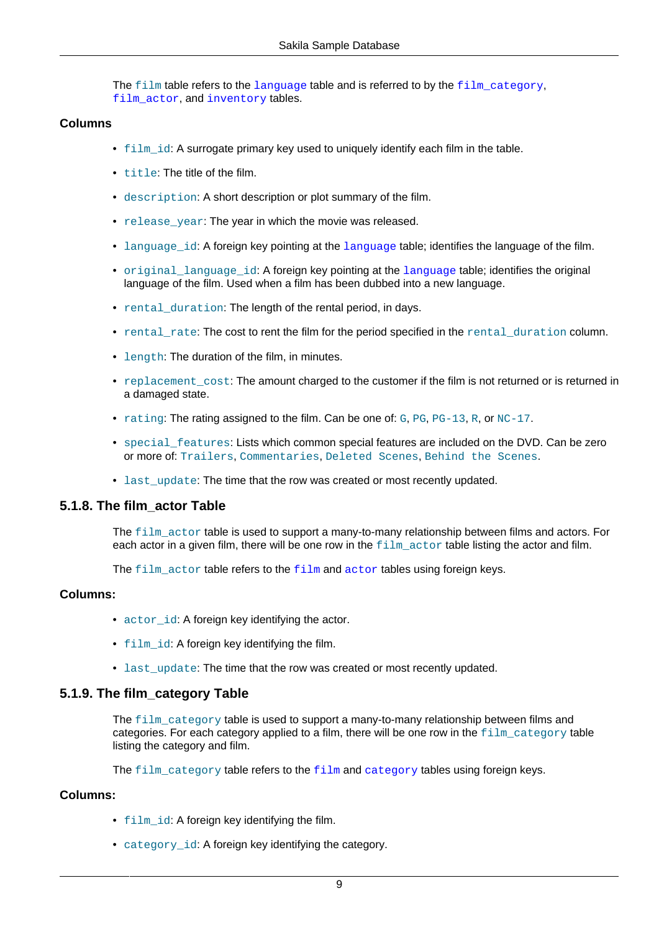The film table refers to the [language](#page-9-2) table and is referred to by the [film\\_category](#page-8-1), film actor, and [inventory](#page-9-1) tables.

#### **Columns**

- $\bullet$   $film$  id: A surrogate primary key used to uniquely identify each film in the table.
- title: The title of the film.
- description: A short description or plot summary of the film.
- release\_year: The year in which the movie was released.
- [language](#page-9-2) id: A foreign key pointing at the language table; identifies the language of the film.
- original [language](#page-9-2) id: A foreign key pointing at the language table; identifies the original language of the film. Used when a film has been dubbed into a new language.
- rental\_duration: The length of the rental period, in days.
- rental rate: The cost to rent the film for the period specified in the rental duration column.
- length: The duration of the film, in minutes.
- replacement\_cost: The amount charged to the customer if the film is not returned or is returned in a damaged state.
- rating: The rating assigned to the film. Can be one of:  $G, PG, PG, PG, or  $NC-17$ .$
- special features: Lists which common special features are included on the DVD. Can be zero or more of: Trailers, Commentaries, Deleted Scenes, Behind the Scenes.
- last update: The time that the row was created or most recently updated.

### <span id="page-8-0"></span>**5.1.8. The film\_actor Table**

The film actor table is used to support a many-to-many relationship between films and actors. For each actor in a given film, there will be one row in the  $film$  actor table listing the actor and film.

The [film](#page-7-0)\_[actor](#page-6-3) table refers to the film and actor tables using foreign keys.

#### **Columns:**

- actor\_id: A foreign key identifying the actor.
- film id: A foreign key identifying the film.
- last\_update: The time that the row was created or most recently updated.

### <span id="page-8-1"></span>**5.1.9. The film\_category Table**

The  $film\ category$  table is used to support a many-to-many relationship between films and categories. For each category applied to a film, there will be one row in the film category table listing the category and film.

The [film](#page-7-0) [category](#page-6-4) table refers to the  $film$  and category tables using foreign keys.

#### **Columns:**

- film id: A foreign key identifying the film.
- category id: A foreign key identifying the category.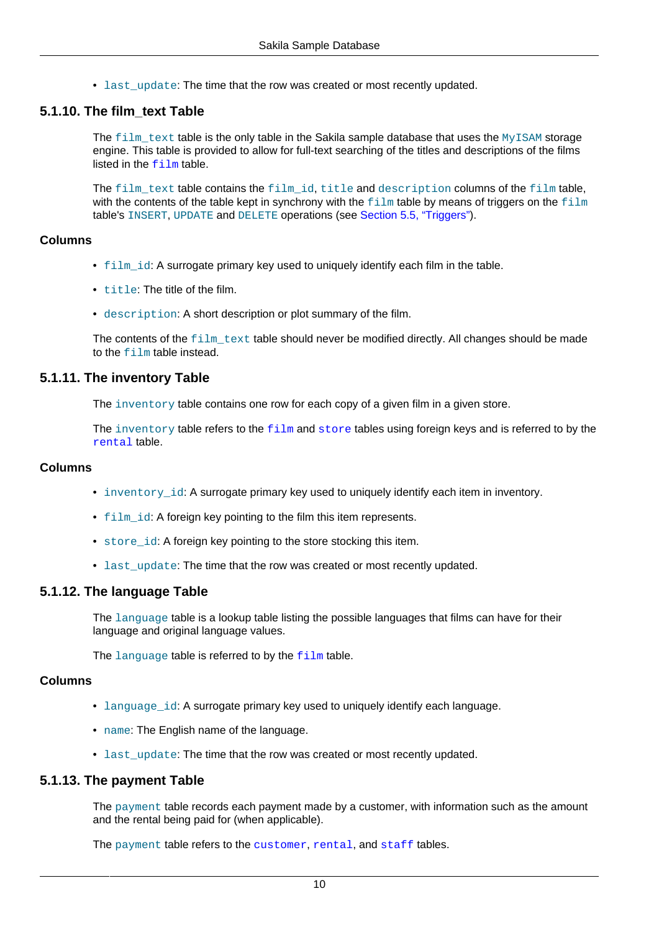• last update: The time that the row was created or most recently updated.

## **5.1.10. The film\_text Table**

The  $film$  text table is the only table in the Sakila sample database that uses the MyISAM storage engine. This table is provided to allow for full-text searching of the titles and descriptions of the films listed in the  $f_1 \text{Im}$  table.

The film text table contains the film id, title and description columns of the film table, with the contents of the table kept in synchrony with the  $f$ ilm table by means of triggers on the  $f$ ilm table's INSERT, UPDATE and DELETE operations (see [Section 5.5, "Triggers"\)](#page-16-0).

### **Columns**

- film\_id: A surrogate primary key used to uniquely identify each film in the table.
- title: The title of the film.
- description: A short description or plot summary of the film.

The contents of the  $film$  text table should never be modified directly. All changes should be made to the film table instead.

## <span id="page-9-1"></span>**5.1.11. The inventory Table**

The inventory table contains one row for each copy of a given film in a given store.

The inventory table refers to the  $\pm i \ln m$  and [store](#page-11-1) tables using foreign keys and is referred to by the [rental](#page-10-1) table.

## **Columns**

- inventory id: A surrogate primary key used to uniquely identify each item in inventory.
- film id: A foreign key pointing to the film this item represents.
- store id: A foreign key pointing to the store stocking this item.
- last update: The time that the row was created or most recently updated.

## <span id="page-9-2"></span>**5.1.12. The language Table**

The language table is a lookup table listing the possible languages that films can have for their language and original language values.

The language table is referred to by the  $film$  table.

### **Columns**

- language id: A surrogate primary key used to uniquely identify each language.
- name: The English name of the language.
- last\_update: The time that the row was created or most recently updated.

## <span id="page-9-0"></span>**5.1.13. The payment Table**

The payment table records each payment made by a customer, with information such as the amount and the rental being paid for (when applicable).

The payment table refers to the [customer](#page-7-1), [rental](#page-10-1), and [staff](#page-10-0) tables.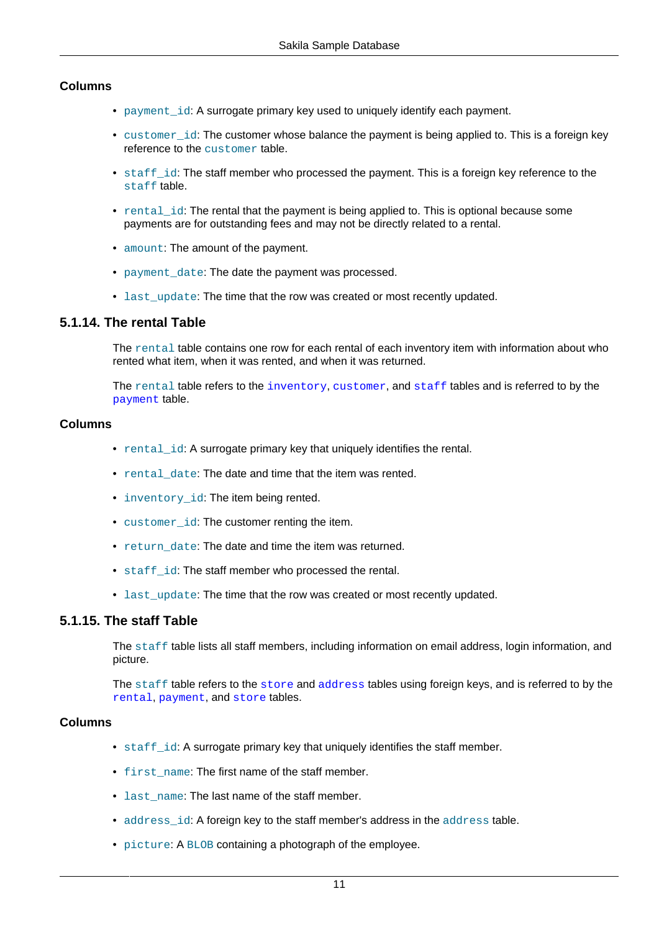## **Columns**

- payment id: A surrogate primary key used to uniquely identify each payment.
- customer\_id: The customer whose balance the payment is being applied to. This is a foreign key reference to the customer table.
- staff\_id: The staff member who processed the payment. This is a foreign key reference to the staff table.
- rental\_id: The rental that the payment is being applied to. This is optional because some payments are for outstanding fees and may not be directly related to a rental.
- amount: The amount of the payment.
- payment\_date: The date the payment was processed.
- last update: The time that the row was created or most recently updated.

### <span id="page-10-1"></span>**5.1.14. The rental Table**

The rental table contains one row for each rental of each inventory item with information about who rented what item, when it was rented, and when it was returned.

The rental table refers to the [inventory](#page-9-1), [customer](#page-7-1), and [staff](#page-10-0) tables and is referred to by the [payment](#page-9-0) table.

#### **Columns**

- rental\_id: A surrogate primary key that uniquely identifies the rental.
- rental date: The date and time that the item was rented.
- inventory id: The item being rented.
- customer id: The customer renting the item.
- return date: The date and time the item was returned.
- staff id: The staff member who processed the rental.
- last\_update: The time that the row was created or most recently updated.

#### <span id="page-10-0"></span>**5.1.15. The staff Table**

The staff table lists all staff members, including information on email address, login information, and picture.

The staff table refers to the [store](#page-11-1) and [address](#page-6-2) tables using foreign keys, and is referred to by the [rental](#page-10-1), [payment](#page-9-0), and [store](#page-11-1) tables.

### **Columns**

- staff id: A surrogate primary key that uniquely identifies the staff member.
- first\_name: The first name of the staff member.
- last name: The last name of the staff member.
- address id: A foreign key to the staff member's address in the address table.
- picture: A BLOB containing a photograph of the employee.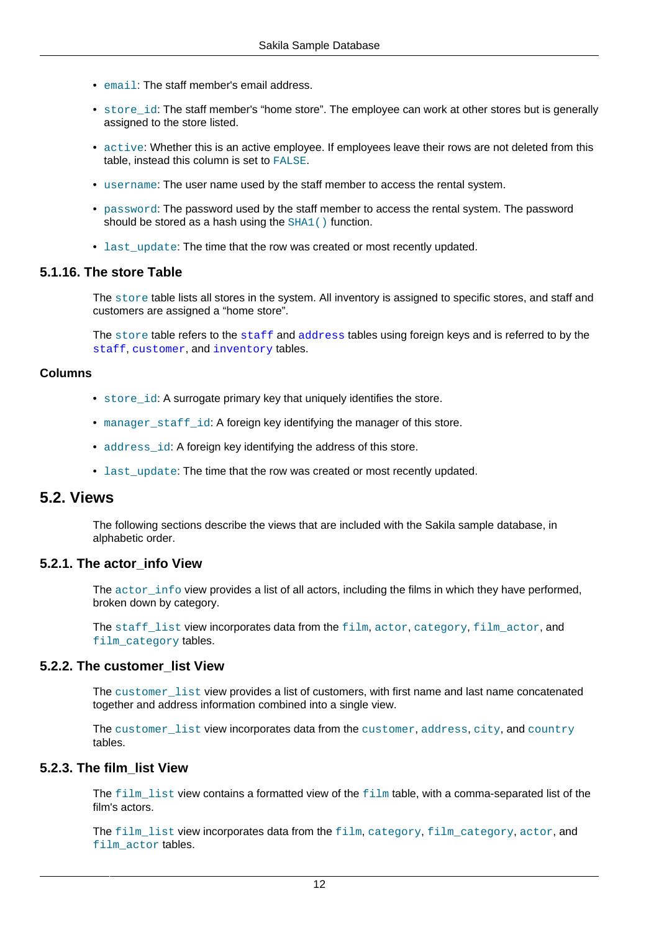- email: The staff member's email address.
- store\_id: The staff member's "home store". The employee can work at other stores but is generally assigned to the store listed.
- active: Whether this is an active employee. If employees leave their rows are not deleted from this table, instead this column is set to FALSE.
- username: The user name used by the staff member to access the rental system.
- password: The password used by the staff member to access the rental system. The password should be stored as a hash using the SHA1() function.
- last\_update: The time that the row was created or most recently updated.

#### <span id="page-11-1"></span>**5.1.16. The store Table**

The store table lists all stores in the system. All inventory is assigned to specific stores, and staff and customers are assigned a "home store".

The store table refers to the [staff](#page-10-0) and [address](#page-6-2) tables using foreign keys and is referred to by the [staff](#page-10-0), [customer](#page-7-1), and [inventory](#page-9-1) tables.

#### **Columns**

- store id: A surrogate primary key that uniquely identifies the store.
- manager staff id: A foreign key identifying the manager of this store.
- address id: A foreign key identifying the address of this store.
- last\_update: The time that the row was created or most recently updated.

## <span id="page-11-0"></span>**5.2. Views**

The following sections describe the views that are included with the Sakila sample database, in alphabetic order.

#### **5.2.1. The actor\_info View**

The actor info view provides a list of all actors, including the films in which they have performed, broken down by category.

The staff list view incorporates data from the film, actor, category, film actor, and film\_category tables.

#### **5.2.2. The customer\_list View**

The customer\_list view provides a list of customers, with first name and last name concatenated together and address information combined into a single view.

The customer list view incorporates data from the customer, address, city, and country tables.

### **5.2.3. The film\_list View**

The  $film$  list view contains a formatted view of the  $film$  table, with a comma-separated list of the film's actors.

The film list view incorporates data from the film, category, film category, actor, and film\_actor tables.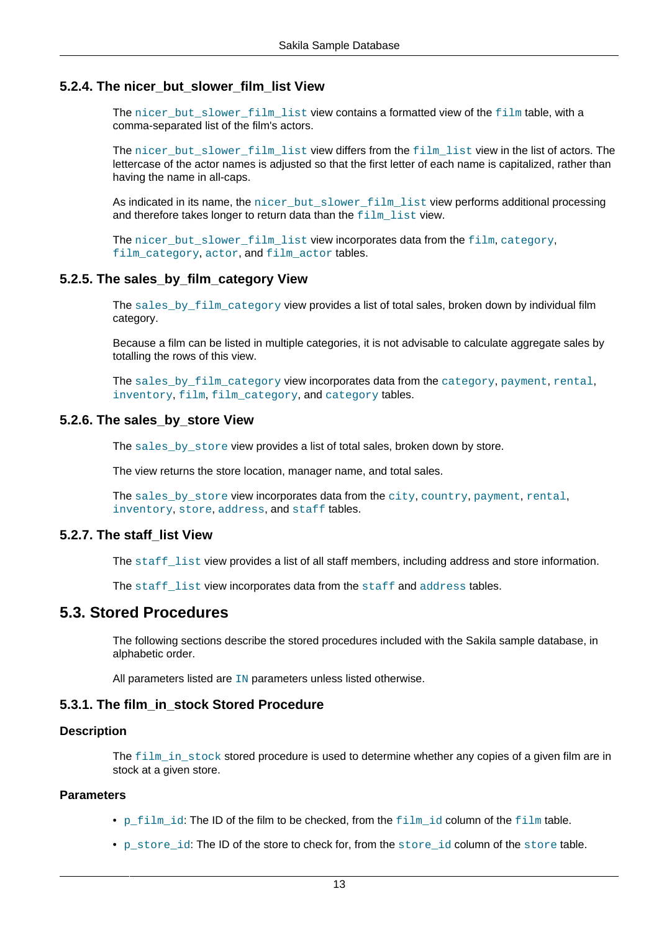## **5.2.4. The nicer\_but\_slower\_film\_list View**

The nicer\_but\_slower\_film\_list view contains a formatted view of the film table, with a comma-separated list of the film's actors.

The nicer\_but\_slower\_film\_list view differs from the film\_list view in the list of actors. The lettercase of the actor names is adjusted so that the first letter of each name is capitalized, rather than having the name in all-caps.

As indicated in its name, the nicer but slower film list view performs additional processing and therefore takes longer to return data than the film list view.

The nicer\_but\_slower\_film\_list view incorporates data from the film, category, film\_category, actor, and film\_actor tables.

### **5.2.5. The sales\_by\_film\_category View**

The sales by film category view provides a list of total sales, broken down by individual film category.

Because a film can be listed in multiple categories, it is not advisable to calculate aggregate sales by totalling the rows of this view.

The sales\_by\_film\_category view incorporates data from the category, payment, rental, inventory, film, film category, and category tables.

#### **5.2.6. The sales\_by\_store View**

The sales by store view provides a list of total sales, broken down by store.

The view returns the store location, manager name, and total sales.

The sales\_by\_store view incorporates data from the city, country, payment, rental, inventory, store, address, and staff tables.

### **5.2.7. The staff\_list View**

The staff\_list view provides a list of all staff members, including address and store information.

The staff\_list view incorporates data from the staff and address tables.

## <span id="page-12-0"></span>**5.3. Stored Procedures**

The following sections describe the stored procedures included with the Sakila sample database, in alphabetic order.

All parameters listed are IN parameters unless listed otherwise.

### **5.3.1. The film\_in\_stock Stored Procedure**

#### **Description**

The  $film$  in stock stored procedure is used to determine whether any copies of a given film are in stock at a given store.

#### **Parameters**

- p\_film\_id: The ID of the film to be checked, from the film id column of the film table.
- p\_store\_id: The ID of the store to check for, from the store\_id column of the store table.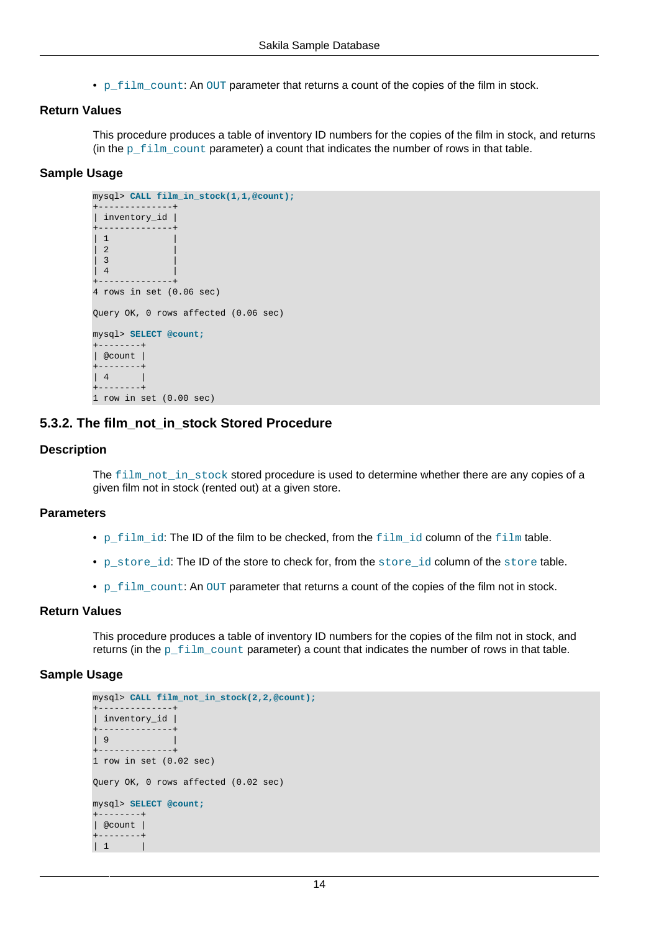• p\_film\_count: An OUT parameter that returns a count of the copies of the film in stock.

#### **Return Values**

This procedure produces a table of inventory ID numbers for the copies of the film in stock, and returns (in the p\_film\_count parameter) a count that indicates the number of rows in that table.

#### **Sample Usage**

```
mysql> CALL film_in_stock(1,1,@count);
+--------------+
| inventory_id |
+--------------+
| 1\begin{bmatrix} 2 \end{bmatrix}| \quad3
\begin{vmatrix} 4 \end{vmatrix}+--------------+
4 rows in set (0.06 sec)
Query OK, 0 rows affected (0.06 sec)
mysql> SELECT @count;
+--------+
| @count |
+--------+
| 4 |
+--------+
1 row in set (0.00 sec)
```
## **5.3.2. The film\_not\_in\_stock Stored Procedure**

#### **Description**

The film\_not\_in\_stock stored procedure is used to determine whether there are any copies of a given film not in stock (rented out) at a given store.

#### **Parameters**

- p\_film\_id: The ID of the film to be checked, from the film\_id column of the film table.
- p\_store\_id: The ID of the store to check for, from the store\_id column of the store table.
- p\_film\_count: An OUT parameter that returns a count of the copies of the film not in stock.

#### **Return Values**

This procedure produces a table of inventory ID numbers for the copies of the film not in stock, and returns (in the  $p$  film count parameter) a count that indicates the number of rows in that table.

#### **Sample Usage**

```
mysql> CALL film_not_in_stock(2,2,@count);
+--------------+
| inventory_id |
+--------------+
| 9 |
+--------------+
1 row in set (0.02 sec)
Query OK, 0 rows affected (0.02 sec)
mysql> SELECT @count;
+--------+
| @count |
+--------+
\vert 1
```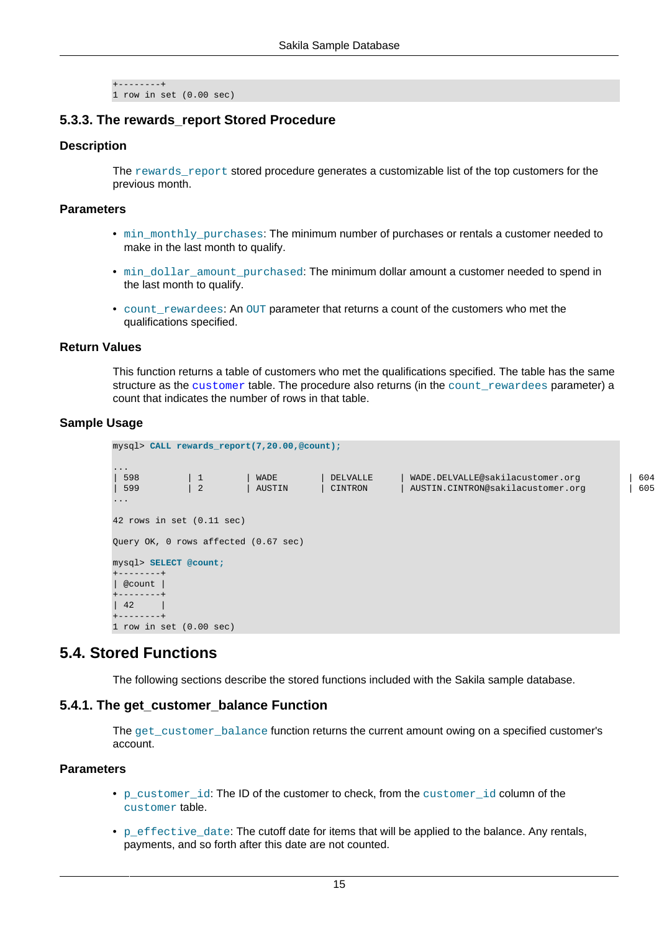```
+--------+
1 row in set (0.00 sec)
```
## **5.3.3. The rewards\_report Stored Procedure**

#### **Description**

The rewards\_report stored procedure generates a customizable list of the top customers for the previous month.

#### **Parameters**

- $min\_monthly\_purchases$ : The minimum number of purchases or rentals a customer needed to make in the last month to qualify.
- min\_dollar\_amount\_purchased: The minimum dollar amount a customer needed to spend in the last month to qualify.
- count\_rewardees: An OUT parameter that returns a count of the customers who met the qualifications specified.

#### **Return Values**

This function returns a table of customers who met the qualifications specified. The table has the same structure as the [customer](#page-7-1) table. The procedure also returns (in the count rewardees parameter) a count that indicates the number of rows in that table.

#### **Sample Usage**

| mysql> CALL rewards_report(7,20.00,@count);                |                         |                |                     |                                                                       |            |  |
|------------------------------------------------------------|-------------------------|----------------|---------------------|-----------------------------------------------------------------------|------------|--|
| $\sim$ $\sim$ $\sim$<br>598<br>599<br>$\sim$ $\sim$ $\sim$ | $\vert$ 1<br>$\sqrt{2}$ | WADE<br>AUSTIN | DELVALLE<br>CINTRON | WADE.DELVALLE@sakilacustomer.org<br>AUSTIN.CINTRON@sakilacustomer.org | 604<br>605 |  |
| 42 rows in set $(0.11 \text{ sec})$                        |                         |                |                     |                                                                       |            |  |
| Query OK, 0 rows affected (0.67 sec)                       |                         |                |                     |                                                                       |            |  |
| mysql> SELECT @count;<br>$+ - - - - - - - +$               |                         |                |                     |                                                                       |            |  |
| @count<br>$+ - - - - - - - +$                              |                         |                |                     |                                                                       |            |  |
| 42<br>$+ - - - - - - - +$                                  |                         |                |                     |                                                                       |            |  |
| 1 row in set $(0.00 \text{ sec})$                          |                         |                |                     |                                                                       |            |  |

## <span id="page-14-0"></span>**5.4. Stored Functions**

The following sections describe the stored functions included with the Sakila sample database.

### **5.4.1. The get\_customer\_balance Function**

The get customer balance function returns the current amount owing on a specified customer's account.

### **Parameters**

- p\_customer\_id: The ID of the customer to check, from the customer\_id column of the customer table.
- $\bullet$  p\_effective\_date: The cutoff date for items that will be applied to the balance. Any rentals, payments, and so forth after this date are not counted.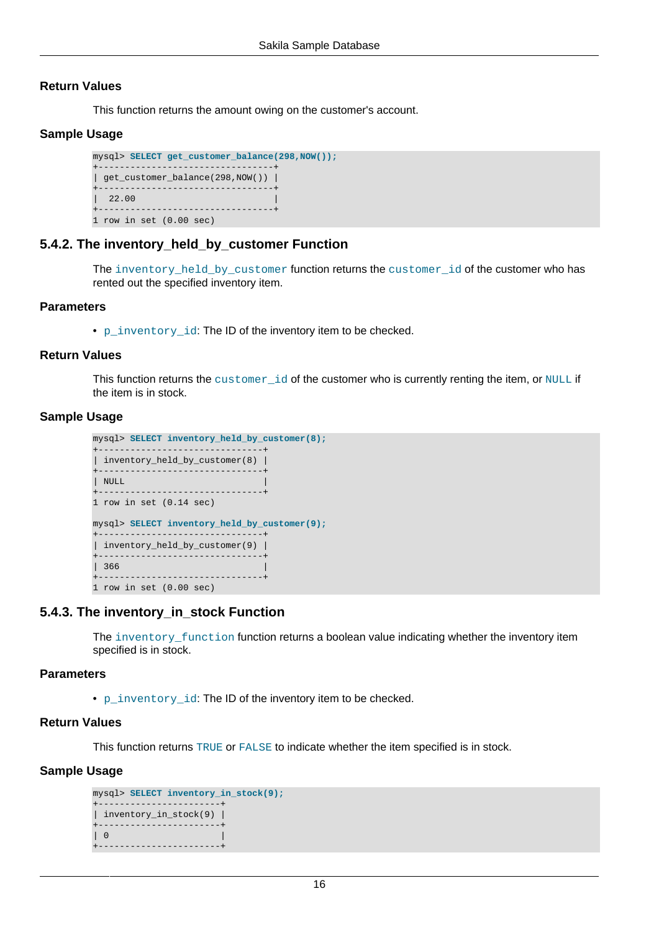#### **Return Values**

This function returns the amount owing on the customer's account.

#### **Sample Usage**

```
mysql> SELECT get_customer_balance(298,NOW());
+---------------------------------+
| get_customer_balance(298,NOW()) |
+---------------------------------+
| 22.00+---------------------------------+
1 row in set (0.00 sec)
```
#### **5.4.2. The inventory\_held\_by\_customer Function**

The inventory\_held\_by\_customer function returns the customer\_id of the customer who has rented out the specified inventory item.

#### **Parameters**

• p\_inventory\_id: The ID of the inventory item to be checked.

#### **Return Values**

This function returns the customer\_id of the customer who is currently renting the item, or NULL if the item is in stock.

#### **Sample Usage**

```
mysql> SELECT inventory_held_by_customer(8);
+-------------------------------+
| inventory_held_by_customer(8) |
     +-------------------------------+
| NULL |
+-------------------------------+
1 row in set (0.14 sec)
mysql> SELECT inventory_held_by_customer(9);
+-------------------------------+
| inventory_held_by_customer(9) |
+-------------------------------+
| 366 |
+-------------------------------+
1 row in set (0.00 sec)
```
### **5.4.3. The inventory\_in\_stock Function**

The inventory\_function function returns a boolean value indicating whether the inventory item specified is in stock.

#### **Parameters**

• p\_inventory\_id: The ID of the inventory item to be checked.

## **Return Values**

This function returns TRUE or FALSE to indicate whether the item specified is in stock.

#### **Sample Usage**

```
mysql> SELECT inventory_in_stock(9);
+-----------------------+
| inventory_in_stock(9) |
+-----------------------+
| 0+-----------------------+
```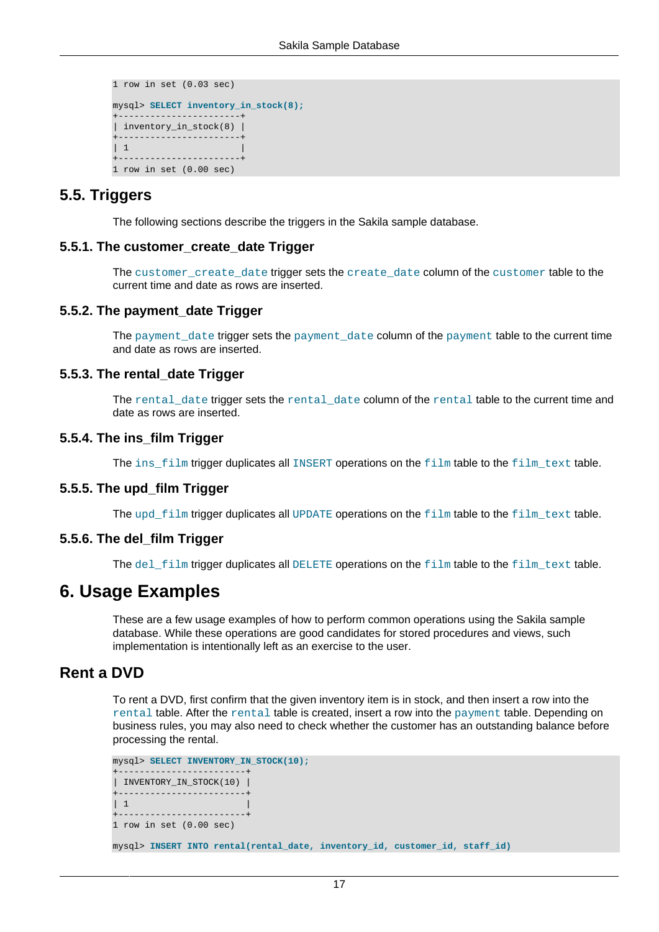```
1 row in set (0.03 sec)
mysql> SELECT inventory_in_stock(8);
+-----------------------+
| inventory_in_stock(8) |
+-----------------------+
\begin{array}{|c|c|} \hline \end{array}+-----------------------+
1 row in set (0.00 sec)
```
## <span id="page-16-0"></span>**5.5. Triggers**

The following sections describe the triggers in the Sakila sample database.

#### **5.5.1. The customer\_create\_date Trigger**

The customer\_create\_date trigger sets the create\_date column of the customer table to the current time and date as rows are inserted.

#### **5.5.2. The payment\_date Trigger**

The payment date trigger sets the payment date column of the payment table to the current time and date as rows are inserted.

#### **5.5.3. The rental\_date Trigger**

The rental\_date trigger sets the rental\_date column of the rental table to the current time and date as rows are inserted.

#### **5.5.4. The ins\_film Trigger**

The ins\_film trigger duplicates all INSERT operations on the film table to the film\_text table.

#### **5.5.5. The upd\_film Trigger**

The upd\_film trigger duplicates all UPDATE operations on the film table to the film\_text table.

### **5.5.6. The del\_film Trigger**

The del  $f$ ilm trigger duplicates all DELETE operations on the  $f$ ilm table to the  $f$ ilm text table.

## <span id="page-16-1"></span>**6. Usage Examples**

These are a few usage examples of how to perform common operations using the Sakila sample database. While these operations are good candidates for stored procedures and views, such implementation is intentionally left as an exercise to the user.

## **Rent a DVD**

To rent a DVD, first confirm that the given inventory item is in stock, and then insert a row into the rental table. After the rental table is created, insert a row into the payment table. Depending on business rules, you may also need to check whether the customer has an outstanding balance before processing the rental.

```
mysql> SELECT INVENTORY_IN_STOCK(10);
+------------------------+
| INVENTORY_IN_STOCK(10) |
  +------------------------+
| 1+------------------------+
1 row in set (0.00 sec)
mysql> INSERT INTO rental(rental_date, inventory_id, customer_id, staff_id)
```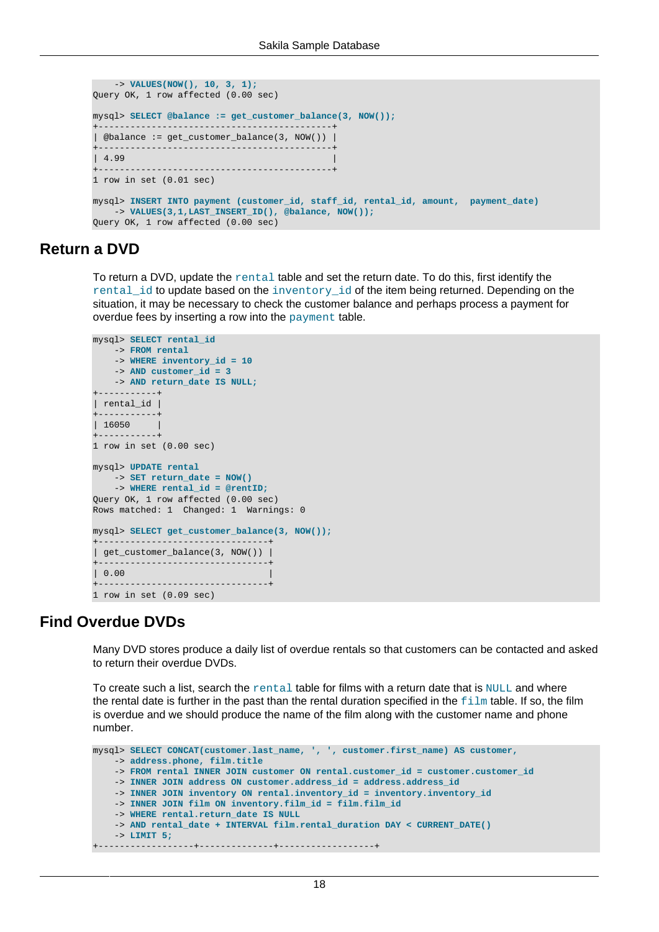```
 -> VALUES(NOW(), 10, 3, 1);
Query OK, 1 row affected (0.00 sec)
mysql> SELECT @balance := get_customer_balance(3, NOW());
+--------------------------------------------+
| @balance := get_customer_balance(3, NOW()) |
   +--------------------------------------------+
| 4.99 |
                          +--------------------------------------------+
1 row in set (0.01 sec)
mysql> INSERT INTO payment (customer_id, staff_id, rental_id, amount, payment_date)
    -> VALUES(3,1,LAST_INSERT_ID(), @balance, NOW());
Query OK, 1 row affected (0.00 sec)
```
## **Return a DVD**

To return a DVD, update the rental table and set the return date. To do this, first identify the rental\_id to update based on the inventory\_id of the item being returned. Depending on the situation, it may be necessary to check the customer balance and perhaps process a payment for overdue fees by inserting a row into the payment table.

```
mysql> SELECT rental_id
    -> FROM rental
    -> WHERE inventory_id = 10
    -> AND customer_id = 3
    -> AND return_date IS NULL;
+-----------+
| rental_id |
 +-----------+
| 16050 |
+-----------+
1 row in set (0.00 sec)
mysql> UPDATE rental
     -> SET return_date = NOW()
    -> WHERE rental_id = @rentID;
Query OK, 1 row affected (0.00 sec)
Rows matched: 1 Changed: 1 Warnings: 0
mysql> SELECT get_customer_balance(3, NOW());
+--------------------------------+
| get_customer_balance(3, NOW()) |
     +--------------------------------+
| 0.00 |+--------------------------------+
1 row in set (0.09 sec)
```
## **Find Overdue DVDs**

Many DVD stores produce a daily list of overdue rentals so that customers can be contacted and asked to return their overdue DVDs.

To create such a list, search the  $r$ ental table for films with a return date that is  $NULL$  and where the rental date is further in the past than the rental duration specified in the  $\pm\sin$  table. If so, the film is overdue and we should produce the name of the film along with the customer name and phone number.

```
mysql> SELECT CONCAT(customer.last_name, ', ', customer.first_name) AS customer,
     -> address.phone, film.title
     -> FROM rental INNER JOIN customer ON rental.customer_id = customer.customer_id
     -> INNER JOIN address ON customer.address_id = address.address_id
     -> INNER JOIN inventory ON rental.inventory_id = inventory.inventory_id
    -> INNER JOIN film ON inventory.film_id = film.film_id
     -> WHERE rental.return_date IS NULL
     -> AND rental_date + INTERVAL film.rental_duration DAY < CURRENT_DATE()
     -> LIMIT 5;
   +------------------+--------------+------------------+
```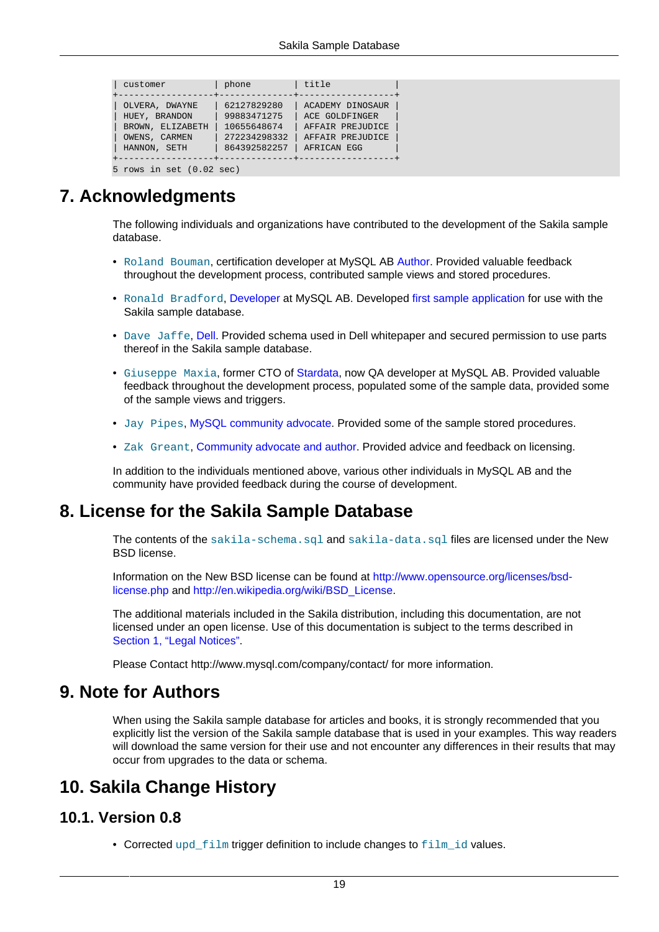| customer                                                                             | phone                                                                     | title                                                                                     |  |  |  |  |
|--------------------------------------------------------------------------------------|---------------------------------------------------------------------------|-------------------------------------------------------------------------------------------|--|--|--|--|
| OLVERA, DWAYNE<br>HUEY, BRANDON<br>BROWN, ELIZABETH<br>OWENS, CARMEN<br>HANNON, SETH | 62127829280<br>99883471275<br>10655648674<br>272234298332<br>864392582257 | ACADEMY DINOSAUR<br>ACE GOLDFINGER<br>AFFAIR PREJUDICE<br>AFFAIR PREJUDICE<br>AFRICAN EGG |  |  |  |  |
|                                                                                      |                                                                           |                                                                                           |  |  |  |  |
| 5 rows in set $(0.02 \text{ sec})$                                                   |                                                                           |                                                                                           |  |  |  |  |

## <span id="page-18-0"></span>**7. Acknowledgments**

The following individuals and organizations have contributed to the development of the Sakila sample database.

- Roland Bouman, certification developer at MySQL AB [Author](http://rpbouman.blogspot.com/). Provided valuable feedback throughout the development process, contributed sample views and stored procedures.
- Ronald Bradford, [Developer](http://blog.arabx.com.au/) at MySQL AB. Developed [first sample application](http://sakila.arabx.com.au/index.htm) for use with the Sakila sample database.
- Dave Jaffe, [Dell.](http://www.dell.com/mysql) Provided schema used in Dell whitepaper and secured permission to use parts thereof in the Sakila sample database.
- Giuseppe Maxia, former CTO of [Stardata](http://www.stardata.it//index_en.html), now QA developer at MySQL AB. Provided valuable feedback throughout the development process, populated some of the sample data, provided some of the sample views and triggers.
- Jay Pipes, [MySQL community advocate](http://www.jpipes.com/). Provided some of the sample stored procedures.
- Zak Greant, [Community advocate and author](http://zak.greant.com). Provided advice and feedback on licensing.

In addition to the individuals mentioned above, various other individuals in MySQL AB and the community have provided feedback during the course of development.

## <span id="page-18-1"></span>**8. License for the Sakila Sample Database**

The contents of the sakila-schema.sql and sakila-data.sql files are licensed under the New BSD license.

Information on the New BSD license can be found at [http://www.opensource.org/licenses/bsd](http://www.opensource.org/licenses/bsd-license.php)[license.php](http://www.opensource.org/licenses/bsd-license.php) and [http://en.wikipedia.org/wiki/BSD\\_License.](http://en.wikipedia.org/wiki/BSD_License)

The additional materials included in the Sakila distribution, including this documentation, are not licensed under an open license. Use of this documentation is subject to the terms described in [Section 1, "Legal Notices"](#page-0-1).

Please Contact http://www.mysql.com/company/contact/ for more information.

## <span id="page-18-2"></span>**9. Note for Authors**

When using the Sakila sample database for articles and books, it is strongly recommended that you explicitly list the version of the Sakila sample database that is used in your examples. This way readers will download the same version for their use and not encounter any differences in their results that may occur from upgrades to the data or schema.

## <span id="page-18-3"></span>**10. Sakila Change History**

## <span id="page-18-4"></span>**10.1. Version 0.8**

• Corrected upd  $film$  trigger definition to include changes to  $film$  id values.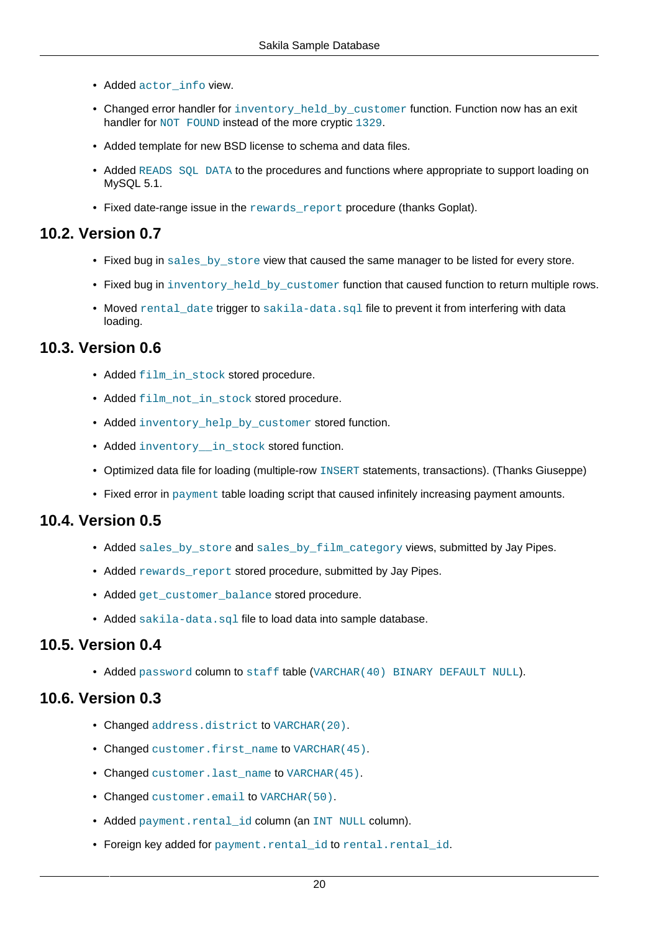- Added actor\_info view.
- Changed error handler for inventory\_held\_by\_customer function. Function now has an exit handler for NOT FOUND instead of the more cryptic 1329.
- Added template for new BSD license to schema and data files.
- Added READS SOL DATA to the procedures and functions where appropriate to support loading on MySQL 5.1.
- Fixed date-range issue in the rewards report procedure (thanks Goplat).

## <span id="page-19-0"></span>**10.2. Version 0.7**

- Fixed bug in sales by store view that caused the same manager to be listed for every store.
- Fixed bug in inventory held by customer function that caused function to return multiple rows.
- Moved rental\_date trigger to sakila-data.sql file to prevent it from interfering with data loading.

## <span id="page-19-1"></span>**10.3. Version 0.6**

- Added film in stock stored procedure.
- Added film not in stock stored procedure.
- Added inventory help by customer stored function.
- Added inventory in stock stored function.
- Optimized data file for loading (multiple-row INSERT statements, transactions). (Thanks Giuseppe)
- Fixed error in payment table loading script that caused infinitely increasing payment amounts.

## <span id="page-19-2"></span>**10.4. Version 0.5**

- Added sales\_by\_store and sales\_by\_film\_category views, submitted by Jay Pipes.
- Added rewards report stored procedure, submitted by Jay Pipes.
- Added get\_customer\_balance stored procedure.
- Added sakila-data.sql file to load data into sample database.

## <span id="page-19-3"></span>**10.5. Version 0.4**

• Added password column to staff table (VARCHAR(40) BINARY DEFAULT NULL).

## <span id="page-19-4"></span>**10.6. Version 0.3**

- Changed address.district to VARCHAR(20).
- Changed customer.first name to VARCHAR(45).
- Changed customer. last name to VARCHAR(45).
- Changed customer.email to VARCHAR(50).
- Added payment.rental id column (an INT NULL column).
- Foreign key added for payment.rental id to rental.rental id.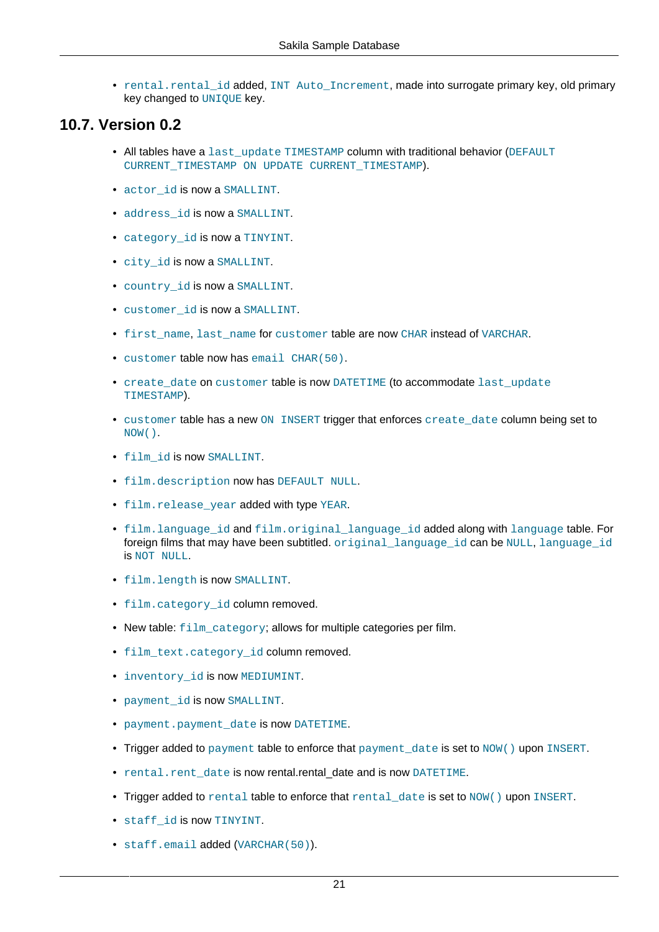• rental.rental\_id added, INT Auto\_Increment, made into surrogate primary key, old primary key changed to UNIOUE key.

## <span id="page-20-0"></span>**10.7. Version 0.2**

- All tables have a last update TIMESTAMP column with traditional behavior (DEFAULT CURRENT\_TIMESTAMP ON UPDATE CURRENT\_TIMESTAMP).
- actor id is now a SMALLINT.
- address\_id is now a SMALLINT.
- category id is now a TINYINT.
- city\_id is now a SMALLINT.
- country\_id is now a SMALLINT.
- customer\_id is now a SMALLINT.
- first name, last name for customer table are now CHAR instead of VARCHAR.
- customer table now has email CHAR(50).
- create date on customer table is now DATETIME (to accommodate last update TIMESTAMP).
- customer table has a new ON INSERT trigger that enforces create date column being set to NOW().
- film\_id is now SMALLINT.
- film.description now has DEFAULT NULL.
- film.release\_year added with type YEAR.
- film.language\_id and film.original\_language\_id added along with language table. For foreign films that may have been subtitled. original\_language\_id can be NULL, language\_id is NOT NULL.
- film.length is now SMALLINT.
- film.category\_id column removed.
- New table: film category; allows for multiple categories per film.
- film text.category id column removed.
- inventory\_id is now MEDIUMINT.
- payment\_id is now SMALLINT.
- payment.payment date is now DATETIME.
- Trigger added to payment table to enforce that payment date is set to NOW() upon INSERT.
- rental.rent date is now rental.rental date and is now DATETIME.
- Trigger added to rental table to enforce that rental date is set to NOW() upon INSERT.
- staff\_id is now TINYINT.
- staff.email added (VARCHAR(50)).